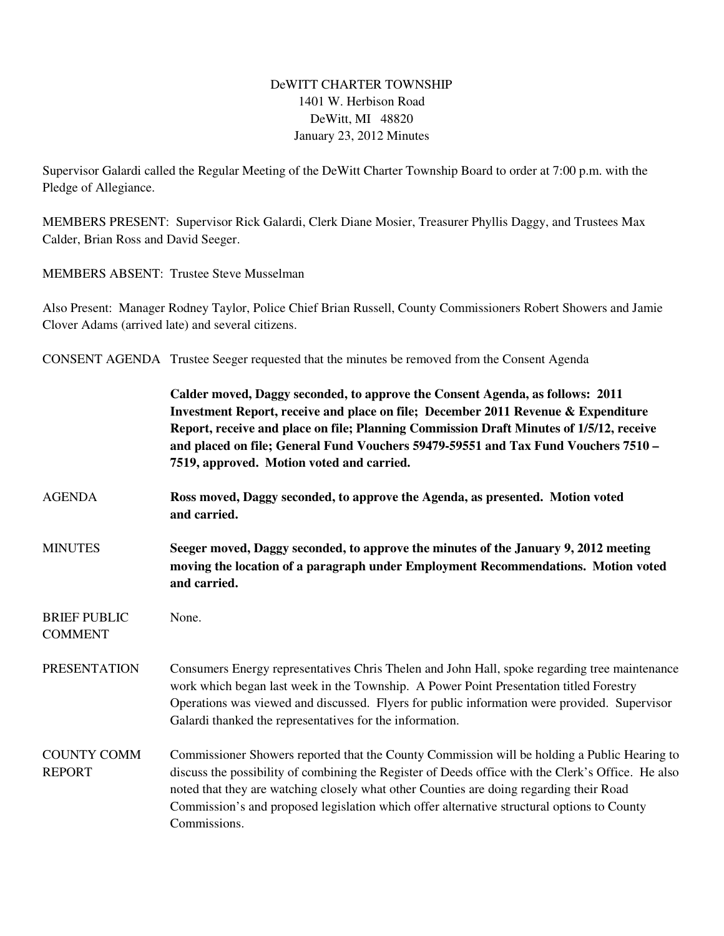## DeWITT CHARTER TOWNSHIP 1401 W. Herbison Road DeWitt, MI 48820 January 23, 2012 Minutes

Supervisor Galardi called the Regular Meeting of the DeWitt Charter Township Board to order at 7:00 p.m. with the Pledge of Allegiance.

MEMBERS PRESENT: Supervisor Rick Galardi, Clerk Diane Mosier, Treasurer Phyllis Daggy, and Trustees Max Calder, Brian Ross and David Seeger.

MEMBERS ABSENT: Trustee Steve Musselman

Also Present: Manager Rodney Taylor, Police Chief Brian Russell, County Commissioners Robert Showers and Jamie Clover Adams (arrived late) and several citizens.

CONSENT AGENDA Trustee Seeger requested that the minutes be removed from the Consent Agenda

|                                       | Calder moved, Daggy seconded, to approve the Consent Agenda, as follows: 2011<br>Investment Report, receive and place on file; December 2011 Revenue & Expenditure<br>Report, receive and place on file; Planning Commission Draft Minutes of 1/5/12, receive<br>and placed on file; General Fund Vouchers 59479-59551 and Tax Fund Vouchers 7510 -<br>7519, approved. Motion voted and carried.            |
|---------------------------------------|-------------------------------------------------------------------------------------------------------------------------------------------------------------------------------------------------------------------------------------------------------------------------------------------------------------------------------------------------------------------------------------------------------------|
| <b>AGENDA</b>                         | Ross moved, Daggy seconded, to approve the Agenda, as presented. Motion voted<br>and carried.                                                                                                                                                                                                                                                                                                               |
| <b>MINUTES</b>                        | Seeger moved, Daggy seconded, to approve the minutes of the January 9, 2012 meeting<br>moving the location of a paragraph under Employment Recommendations. Motion voted<br>and carried.                                                                                                                                                                                                                    |
| <b>BRIEF PUBLIC</b><br><b>COMMENT</b> | None.                                                                                                                                                                                                                                                                                                                                                                                                       |
| <b>PRESENTATION</b>                   | Consumers Energy representatives Chris Thelen and John Hall, spoke regarding tree maintenance<br>work which began last week in the Township. A Power Point Presentation titled Forestry<br>Operations was viewed and discussed. Flyers for public information were provided. Supervisor<br>Galardi thanked the representatives for the information.                                                         |
| <b>COUNTY COMM</b><br><b>REPORT</b>   | Commissioner Showers reported that the County Commission will be holding a Public Hearing to<br>discuss the possibility of combining the Register of Deeds office with the Clerk's Office. He also<br>noted that they are watching closely what other Counties are doing regarding their Road<br>Commission's and proposed legislation which offer alternative structural options to County<br>Commissions. |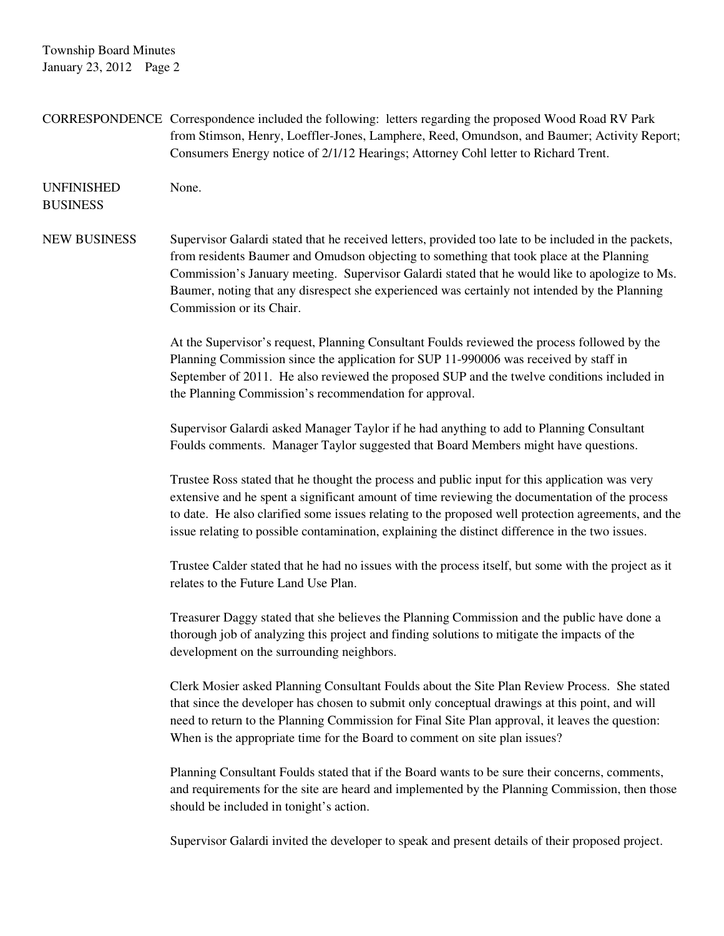Township Board Minutes January 23, 2012 Page 2

CORRESPONDENCE Correspondence included the following: letters regarding the proposed Wood Road RV Park from Stimson, Henry, Loeffler-Jones, Lamphere, Reed, Omundson, and Baumer; Activity Report; Consumers Energy notice of 2/1/12 Hearings; Attorney Cohl letter to Richard Trent. UNFINISHED None. BUSINESS NEW BUSINESS Supervisor Galardi stated that he received letters, provided too late to be included in the packets, from residents Baumer and Omudson objecting to something that took place at the Planning Commission's January meeting. Supervisor Galardi stated that he would like to apologize to Ms. Baumer, noting that any disrespect she experienced was certainly not intended by the Planning Commission or its Chair. At the Supervisor's request, Planning Consultant Foulds reviewed the process followed by the Planning Commission since the application for SUP 11-990006 was received by staff in September of 2011. He also reviewed the proposed SUP and the twelve conditions included in the Planning Commission's recommendation for approval. Supervisor Galardi asked Manager Taylor if he had anything to add to Planning Consultant Foulds comments. Manager Taylor suggested that Board Members might have questions. Trustee Ross stated that he thought the process and public input for this application was very extensive and he spent a significant amount of time reviewing the documentation of the process to date. He also clarified some issues relating to the proposed well protection agreements, and the issue relating to possible contamination, explaining the distinct difference in the two issues. Trustee Calder stated that he had no issues with the process itself, but some with the project as it relates to the Future Land Use Plan. Treasurer Daggy stated that she believes the Planning Commission and the public have done a thorough job of analyzing this project and finding solutions to mitigate the impacts of the development on the surrounding neighbors. Clerk Mosier asked Planning Consultant Foulds about the Site Plan Review Process. She stated that since the developer has chosen to submit only conceptual drawings at this point, and will need to return to the Planning Commission for Final Site Plan approval, it leaves the question: When is the appropriate time for the Board to comment on site plan issues? Planning Consultant Foulds stated that if the Board wants to be sure their concerns, comments, and requirements for the site are heard and implemented by the Planning Commission, then those should be included in tonight's action. Supervisor Galardi invited the developer to speak and present details of their proposed project.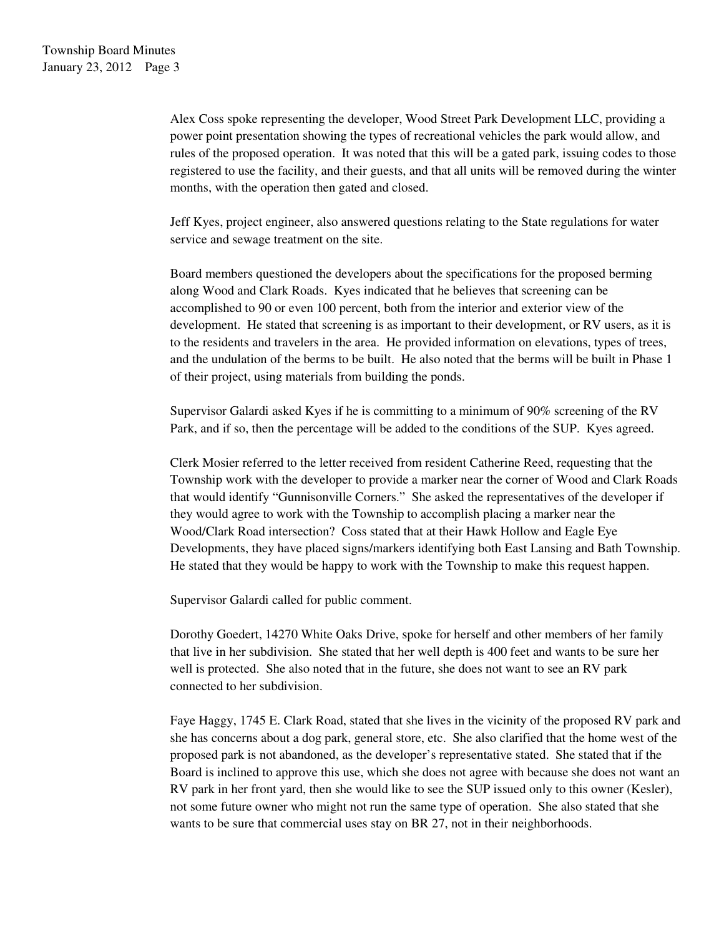Alex Coss spoke representing the developer, Wood Street Park Development LLC, providing a power point presentation showing the types of recreational vehicles the park would allow, and rules of the proposed operation. It was noted that this will be a gated park, issuing codes to those registered to use the facility, and their guests, and that all units will be removed during the winter months, with the operation then gated and closed.

Jeff Kyes, project engineer, also answered questions relating to the State regulations for water service and sewage treatment on the site.

 Board members questioned the developers about the specifications for the proposed berming along Wood and Clark Roads. Kyes indicated that he believes that screening can be accomplished to 90 or even 100 percent, both from the interior and exterior view of the development. He stated that screening is as important to their development, or RV users, as it is to the residents and travelers in the area. He provided information on elevations, types of trees, and the undulation of the berms to be built. He also noted that the berms will be built in Phase 1 of their project, using materials from building the ponds.

Supervisor Galardi asked Kyes if he is committing to a minimum of 90% screening of the RV Park, and if so, then the percentage will be added to the conditions of the SUP. Kyes agreed.

Clerk Mosier referred to the letter received from resident Catherine Reed, requesting that the Township work with the developer to provide a marker near the corner of Wood and Clark Roads that would identify "Gunnisonville Corners." She asked the representatives of the developer if they would agree to work with the Township to accomplish placing a marker near the Wood/Clark Road intersection? Coss stated that at their Hawk Hollow and Eagle Eye Developments, they have placed signs/markers identifying both East Lansing and Bath Township. He stated that they would be happy to work with the Township to make this request happen.

Supervisor Galardi called for public comment.

Dorothy Goedert, 14270 White Oaks Drive, spoke for herself and other members of her family that live in her subdivision. She stated that her well depth is 400 feet and wants to be sure her well is protected. She also noted that in the future, she does not want to see an RV park connected to her subdivision.

Faye Haggy, 1745 E. Clark Road, stated that she lives in the vicinity of the proposed RV park and she has concerns about a dog park, general store, etc. She also clarified that the home west of the proposed park is not abandoned, as the developer's representative stated. She stated that if the Board is inclined to approve this use, which she does not agree with because she does not want an RV park in her front yard, then she would like to see the SUP issued only to this owner (Kesler), not some future owner who might not run the same type of operation. She also stated that she wants to be sure that commercial uses stay on BR 27, not in their neighborhoods.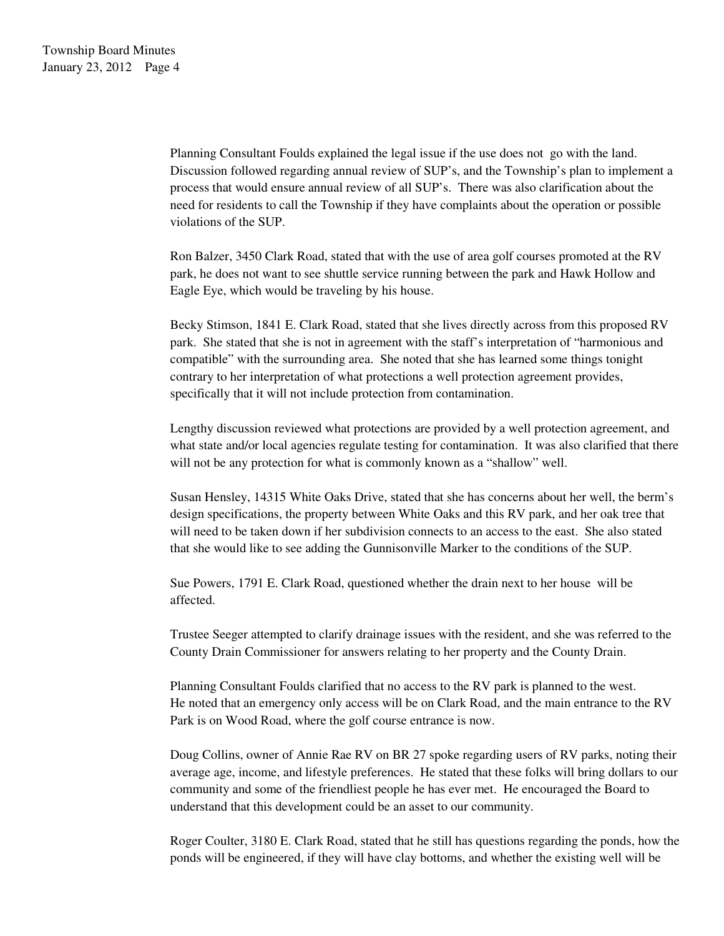Planning Consultant Foulds explained the legal issue if the use does not go with the land. Discussion followed regarding annual review of SUP's, and the Township's plan to implement a process that would ensure annual review of all SUP's. There was also clarification about the need for residents to call the Township if they have complaints about the operation or possible violations of the SUP.

Ron Balzer, 3450 Clark Road, stated that with the use of area golf courses promoted at the RV park, he does not want to see shuttle service running between the park and Hawk Hollow and Eagle Eye, which would be traveling by his house.

Becky Stimson, 1841 E. Clark Road, stated that she lives directly across from this proposed RV park. She stated that she is not in agreement with the staff's interpretation of "harmonious and compatible" with the surrounding area. She noted that she has learned some things tonight contrary to her interpretation of what protections a well protection agreement provides, specifically that it will not include protection from contamination.

Lengthy discussion reviewed what protections are provided by a well protection agreement, and what state and/or local agencies regulate testing for contamination. It was also clarified that there will not be any protection for what is commonly known as a "shallow" well.

Susan Hensley, 14315 White Oaks Drive, stated that she has concerns about her well, the berm's design specifications, the property between White Oaks and this RV park, and her oak tree that will need to be taken down if her subdivision connects to an access to the east. She also stated that she would like to see adding the Gunnisonville Marker to the conditions of the SUP.

Sue Powers, 1791 E. Clark Road, questioned whether the drain next to her house will be affected.

Trustee Seeger attempted to clarify drainage issues with the resident, and she was referred to the County Drain Commissioner for answers relating to her property and the County Drain.

Planning Consultant Foulds clarified that no access to the RV park is planned to the west. He noted that an emergency only access will be on Clark Road, and the main entrance to the RV Park is on Wood Road, where the golf course entrance is now.

Doug Collins, owner of Annie Rae RV on BR 27 spoke regarding users of RV parks, noting their average age, income, and lifestyle preferences. He stated that these folks will bring dollars to our community and some of the friendliest people he has ever met. He encouraged the Board to understand that this development could be an asset to our community.

Roger Coulter, 3180 E. Clark Road, stated that he still has questions regarding the ponds, how the ponds will be engineered, if they will have clay bottoms, and whether the existing well will be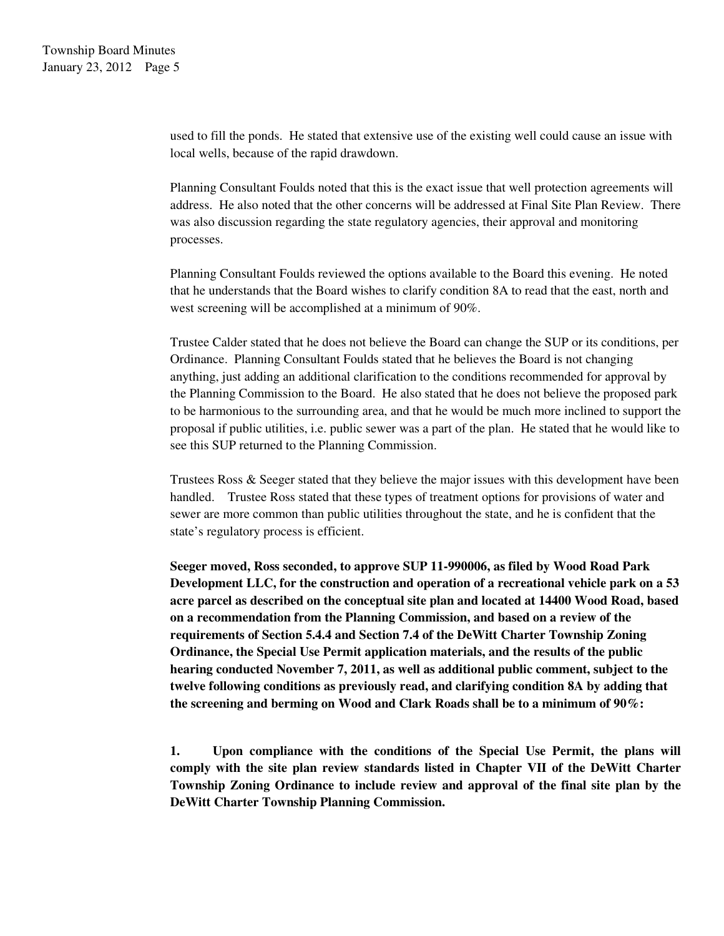used to fill the ponds. He stated that extensive use of the existing well could cause an issue with local wells, because of the rapid drawdown.

Planning Consultant Foulds noted that this is the exact issue that well protection agreements will address. He also noted that the other concerns will be addressed at Final Site Plan Review. There was also discussion regarding the state regulatory agencies, their approval and monitoring processes.

Planning Consultant Foulds reviewed the options available to the Board this evening. He noted that he understands that the Board wishes to clarify condition 8A to read that the east, north and west screening will be accomplished at a minimum of 90%.

Trustee Calder stated that he does not believe the Board can change the SUP or its conditions, per Ordinance. Planning Consultant Foulds stated that he believes the Board is not changing anything, just adding an additional clarification to the conditions recommended for approval by the Planning Commission to the Board. He also stated that he does not believe the proposed park to be harmonious to the surrounding area, and that he would be much more inclined to support the proposal if public utilities, i.e. public sewer was a part of the plan. He stated that he would like to see this SUP returned to the Planning Commission.

Trustees Ross & Seeger stated that they believe the major issues with this development have been handled. Trustee Ross stated that these types of treatment options for provisions of water and sewer are more common than public utilities throughout the state, and he is confident that the state's regulatory process is efficient.

**Seeger moved, Ross seconded, to approve SUP 11-990006, as filed by Wood Road Park Development LLC, for the construction and operation of a recreational vehicle park on a 53 acre parcel as described on the conceptual site plan and located at 14400 Wood Road, based on a recommendation from the Planning Commission, and based on a review of the requirements of Section 5.4.4 and Section 7.4 of the DeWitt Charter Township Zoning Ordinance, the Special Use Permit application materials, and the results of the public hearing conducted November 7, 2011, as well as additional public comment, subject to the twelve following conditions as previously read, and clarifying condition 8A by adding that the screening and berming on Wood and Clark Roads shall be to a minimum of 90%:** 

**1. Upon compliance with the conditions of the Special Use Permit, the plans will comply with the site plan review standards listed in Chapter VII of the DeWitt Charter Township Zoning Ordinance to include review and approval of the final site plan by the DeWitt Charter Township Planning Commission.**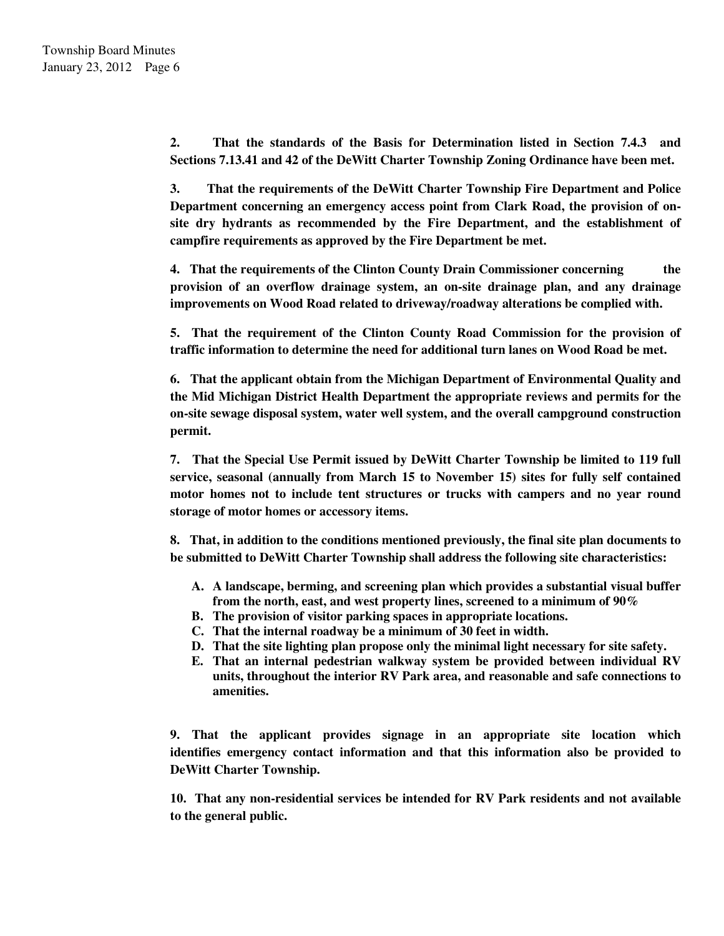**2. That the standards of the Basis for Determination listed in Section 7.4.3 and Sections 7.13.41 and 42 of the DeWitt Charter Township Zoning Ordinance have been met.** 

 **3. That the requirements of the DeWitt Charter Township Fire Department and Police Department concerning an emergency access point from Clark Road, the provision of onsite dry hydrants as recommended by the Fire Department, and the establishment of campfire requirements as approved by the Fire Department be met.** 

 **4. That the requirements of the Clinton County Drain Commissioner concerning the provision of an overflow drainage system, an on-site drainage plan, and any drainage improvements on Wood Road related to driveway/roadway alterations be complied with.** 

 **5. That the requirement of the Clinton County Road Commission for the provision of traffic information to determine the need for additional turn lanes on Wood Road be met.** 

 **6. That the applicant obtain from the Michigan Department of Environmental Quality and the Mid Michigan District Health Department the appropriate reviews and permits for the on-site sewage disposal system, water well system, and the overall campground construction permit.** 

 **7. That the Special Use Permit issued by DeWitt Charter Township be limited to 119 full service, seasonal (annually from March 15 to November 15) sites for fully self contained motor homes not to include tent structures or trucks with campers and no year round storage of motor homes or accessory items.** 

**8. That, in addition to the conditions mentioned previously, the final site plan documents to be submitted to DeWitt Charter Township shall address the following site characteristics:** 

- **A. A landscape, berming, and screening plan which provides a substantial visual buffer from the north, east, and west property lines, screened to a minimum of 90%**
- **B. The provision of visitor parking spaces in appropriate locations.**
- **C. That the internal roadway be a minimum of 30 feet in width.**
- **D. That the site lighting plan propose only the minimal light necessary for site safety.**
- **E. That an internal pedestrian walkway system be provided between individual RV units, throughout the interior RV Park area, and reasonable and safe connections to amenities.**

**9. That the applicant provides signage in an appropriate site location which identifies emergency contact information and that this information also be provided to DeWitt Charter Township.** 

**10. That any non-residential services be intended for RV Park residents and not available to the general public.**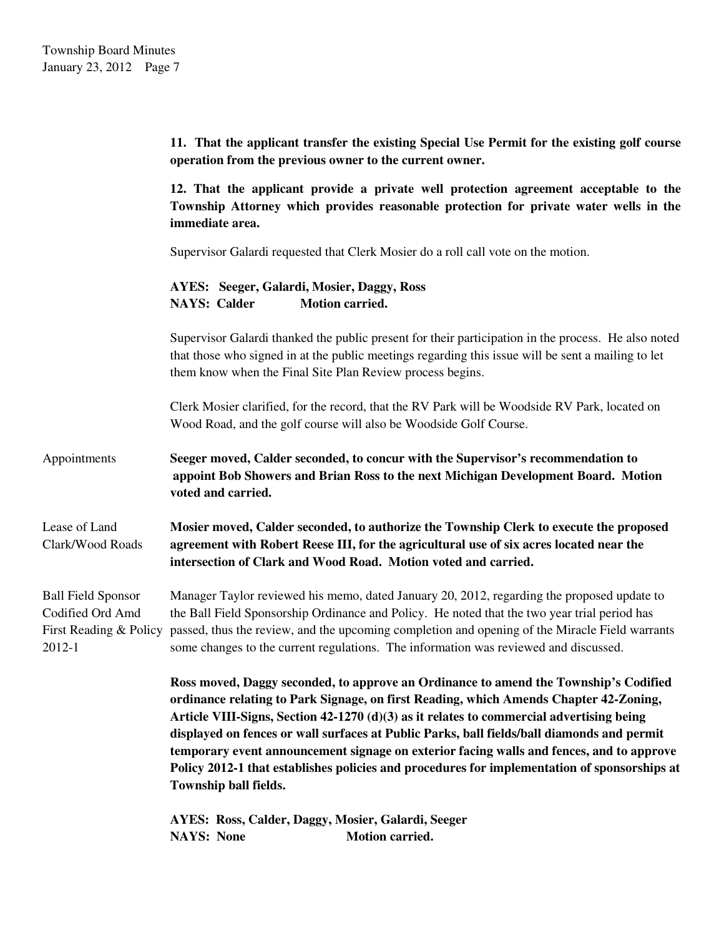**11. That the applicant transfer the existing Special Use Permit for the existing golf course operation from the previous owner to the current owner.** 

**12. That the applicant provide a private well protection agreement acceptable to the Township Attorney which provides reasonable protection for private water wells in the immediate area.** 

Supervisor Galardi requested that Clerk Mosier do a roll call vote on the motion.

**AYES: Seeger, Galardi, Mosier, Daggy, Ross NAYS: Calder Motion carried.** 

Supervisor Galardi thanked the public present for their participation in the process. He also noted that those who signed in at the public meetings regarding this issue will be sent a mailing to let them know when the Final Site Plan Review process begins.

Clerk Mosier clarified, for the record, that the RV Park will be Woodside RV Park, located on Wood Road, and the golf course will also be Woodside Golf Course.

Appointments **Seeger moved, Calder seconded, to concur with the Supervisor's recommendation to appoint Bob Showers and Brian Ross to the next Michigan Development Board. Motion voted and carried.** 

Lease of Land **Mosier moved, Calder seconded, to authorize the Township Clerk to execute the proposed**  Clark/Wood Roads **agreement with Robert Reese III, for the agricultural use of six acres located near the intersection of Clark and Wood Road. Motion voted and carried.** 

Ball Field Sponsor Manager Taylor reviewed his memo, dated January 20, 2012, regarding the proposed update to Codified Ord Amd the Ball Field Sponsorship Ordinance and Policy. He noted that the two year trial period has First Reading & Policy passed, thus the review, and the upcoming completion and opening of the Miracle Field warrants 2012-1 some changes to the current regulations. The information was reviewed and discussed.

> **Ross moved, Daggy seconded, to approve an Ordinance to amend the Township's Codified ordinance relating to Park Signage, on first Reading, which Amends Chapter 42-Zoning, Article VIII-Signs, Section 42-1270 (d)(3) as it relates to commercial advertising being displayed on fences or wall surfaces at Public Parks, ball fields/ball diamonds and permit temporary event announcement signage on exterior facing walls and fences, and to approve Policy 2012-1 that establishes policies and procedures for implementation of sponsorships at Township ball fields.**

**AYES: Ross, Calder, Daggy, Mosier, Galardi, Seeger NAYS:** None **Motion carried.**